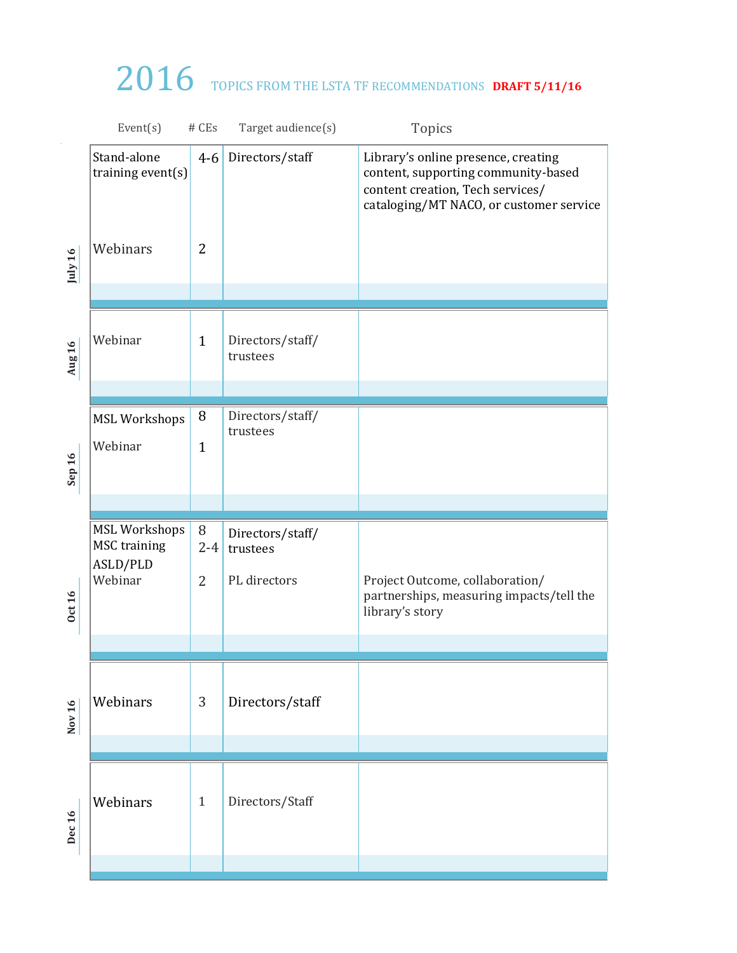## 2016 TOPICS FROM THE LSTA TF RECOMMENDATIONS DRAFT 5/11/16

|                   | Event(s)                                    | # CEs          | Target audience(s)           | Topics                                                                                                                                                    |
|-------------------|---------------------------------------------|----------------|------------------------------|-----------------------------------------------------------------------------------------------------------------------------------------------------------|
|                   | Stand-alone<br>training event(s)            | $4 - 6$        | Directors/staff              | Library's online presence, creating<br>content, supporting community-based<br>content creation, Tech services/<br>cataloging/MT NACO, or customer service |
| July 16           | Webinars                                    | $\overline{2}$ |                              |                                                                                                                                                           |
| Aug 16            | Webinar                                     | $\mathbf{1}$   | Directors/staff/<br>trustees |                                                                                                                                                           |
|                   |                                             |                |                              |                                                                                                                                                           |
|                   | <b>MSL Workshops</b>                        | 8              | Directors/staff/<br>trustees |                                                                                                                                                           |
| Sep 16            | Webinar                                     | $\mathbf{1}$   |                              |                                                                                                                                                           |
|                   |                                             |                |                              |                                                                                                                                                           |
|                   |                                             |                |                              |                                                                                                                                                           |
|                   | <b>MSL Workshops</b><br><b>MSC</b> training | 8<br>$2 - 4$   | Directors/staff/<br>trustees |                                                                                                                                                           |
|                   | ASLD/PLD                                    |                |                              |                                                                                                                                                           |
| <b>Oct 16</b>     | Webinar                                     | $\overline{2}$ | PL directors                 | Project Outcome, collaboration/<br>partnerships, measuring impacts/tell the<br>library's story                                                            |
|                   |                                             |                |                              |                                                                                                                                                           |
| Nov 16            | Webinars                                    | $\mathbf{3}$   | Directors/staff              |                                                                                                                                                           |
|                   |                                             |                |                              |                                                                                                                                                           |
| Dec <sub>16</sub> | Webinars                                    | $\mathbf{1}$   | Directors/Staff              |                                                                                                                                                           |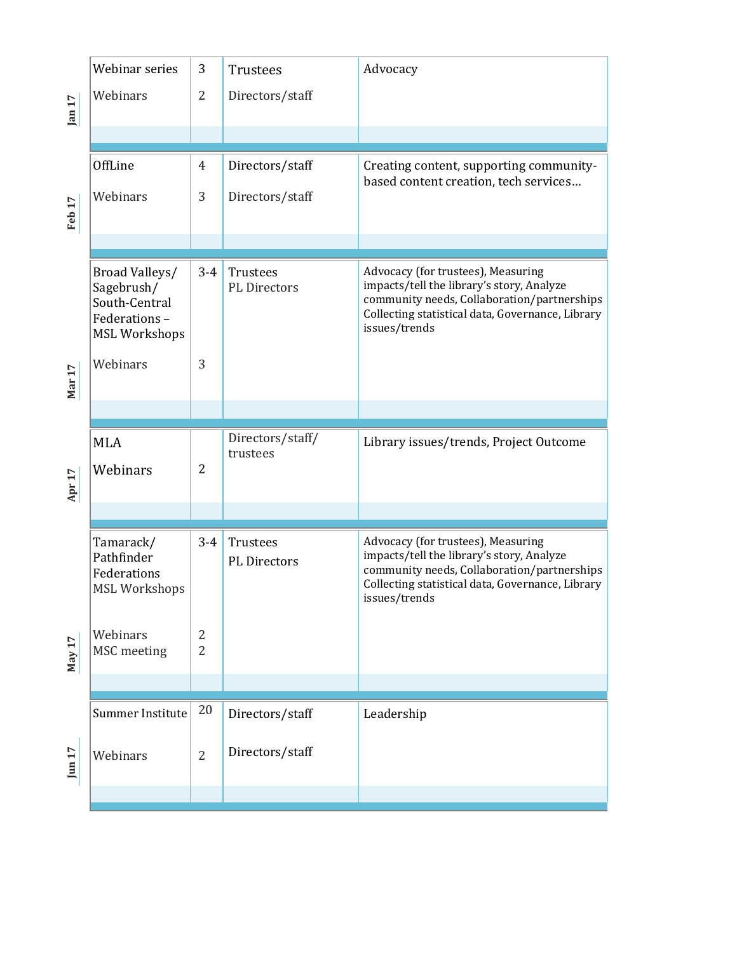|          | Webinar series                                                                        | 3                   | <b>Trustees</b>                 | Advocacy                                                                                                                                                                                            |
|----------|---------------------------------------------------------------------------------------|---------------------|---------------------------------|-----------------------------------------------------------------------------------------------------------------------------------------------------------------------------------------------------|
| jan 17   | Webinars                                                                              | $\overline{2}$      | Directors/staff                 |                                                                                                                                                                                                     |
|          |                                                                                       |                     |                                 |                                                                                                                                                                                                     |
|          | OffLine                                                                               | $\overline{4}$      | Directors/staff                 | Creating content, supporting community-<br>based content creation, tech services                                                                                                                    |
| Feb 17   | Webinars                                                                              | 3                   | Directors/staff                 |                                                                                                                                                                                                     |
|          |                                                                                       |                     |                                 |                                                                                                                                                                                                     |
|          | Broad Valleys/<br>Sagebrush/<br>South-Central<br>Federations-<br><b>MSL Workshops</b> | $3 - 4$             | Trustees<br><b>PL</b> Directors | Advocacy (for trustees), Measuring<br>impacts/tell the library's story, Analyze<br>community needs, Collaboration/partnerships<br>Collecting statistical data, Governance, Library<br>issues/trends |
| Mar 17   | Webinars                                                                              | 3                   |                                 |                                                                                                                                                                                                     |
|          |                                                                                       |                     |                                 |                                                                                                                                                                                                     |
|          |                                                                                       |                     |                                 |                                                                                                                                                                                                     |
|          | <b>MLA</b>                                                                            |                     | Directors/staff/                | Library issues/trends, Project Outcome                                                                                                                                                              |
| Apr $17$ | Webinars                                                                              | 2                   | trustees                        |                                                                                                                                                                                                     |
|          |                                                                                       |                     |                                 |                                                                                                                                                                                                     |
|          | Tamarack/<br>Pathfinder<br>Federations<br><b>MSL Workshops</b>                        | $3 - 4$             | Trustees<br>PL Directors        | Advocacy (for trustees), Measuring<br>impacts/tell the library's story, Analyze<br>community needs, Collaboration/partnerships<br>Collecting statistical data, Governance, Library<br>issues/trends |
| May 17   | Webinars<br>MSC meeting                                                               | 2<br>$\overline{2}$ |                                 |                                                                                                                                                                                                     |
|          |                                                                                       |                     |                                 |                                                                                                                                                                                                     |
|          | Summer Institute                                                                      | 20                  | Directors/staff                 | Leadership                                                                                                                                                                                          |
| Jun 17   | Webinars                                                                              | $\overline{2}$      | Directors/staff                 |                                                                                                                                                                                                     |